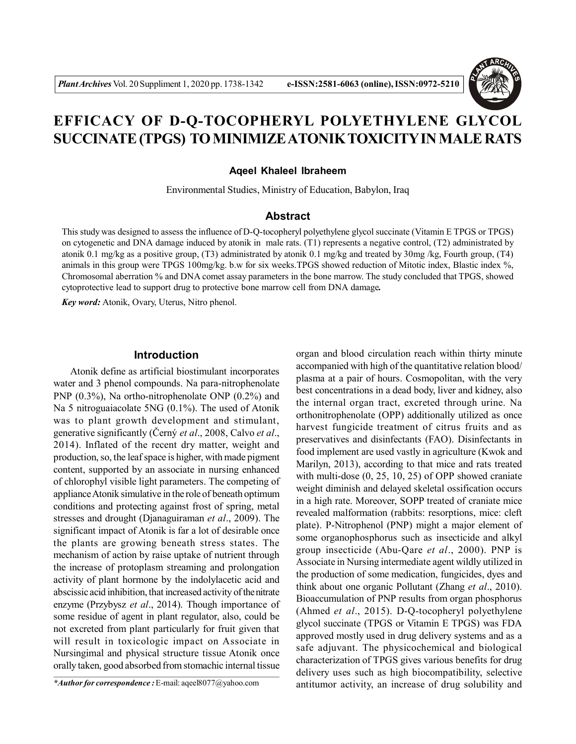

# **EFFICACY OF D-Q-TOCOPHERYL POLYETHYLENE GLYCOL SUCCINATE (TPGS) TO MINIMIZE ATONIK TOXICITY IN MALE RATS**

## **Aqeel Khaleel Ibraheem**

Environmental Studies, Ministry of Education, Babylon, Iraq

# **Abstract**

This study was designed to assess the influence of D-Q-tocopheryl polyethylene glycol succinate (Vitamin E TPGS or TPGS) on cytogenetic and DNA damage induced by atonik in male rats. (T1) represents a negative control, (T2) administrated by atonik 0.1 mg/kg as a positive group, (T3) administrated by atonik 0.1 mg/kg and treated by 30mg /kg, Fourth group, (T4) animals in this group were TPGS 100mg/kg. b.w for six weeks.TPGS showed reduction of Mitotic index, Blastic index %, Chromosomal aberration % and DNA comet assay parameters in the bone marrow. The study concluded that TPGS, showed cytoprotective lead to support drug to protective bone marrow cell from DNA damage*.*

*Key word:* Atonik, Ovary, Uterus, Nitro phenol.

## **Introduction**

Atonik define as artificial biostimulant incorporates water and 3 phenol compounds. Na para-nitrophenolate PNP (0.3%), Na ortho-nitrophenolate ONP (0.2%) and Na 5 nitroguaiacolate 5NG (0.1%). The used of Atonik was to plant growth development and stimulant, generative significantly (Černý *et al*., 2008, Calvo *et al*., 2014). Inflated of the recent dry matter, weight and production, so, the leaf space is higher, with made pigment content, supported by an associate in nursing enhanced of chlorophyl visible light parameters. The competing of appliance Atonik simulative in the role of beneath optimum conditions and protecting against frost of spring, metal stresses and drought (Djanaguiraman *et al*., 2009). The significant impact of Atonik is far a lot of desirable once the plants are growing beneath stress states. The mechanism of action by raise uptake of nutrient through the increase of protoplasm streaming and prolongation activity of plant hormone by the indolylacetic acid and abscissic acid inhibition, that increased activity of the nitrate enzyme (Przybysz *et al*., 2014). Though importance of some residue of agent in plant regulator, also, could be not excreted from plant particularly for fruit given that will result in toxicologic impact on Associate in Nursingimal and physical structure tissue Atonik once orally taken, good absorbed from stomachic internal tissue

organ and blood circulation reach within thirty minute accompanied with high of the quantitative relation blood/ plasma at a pair of hours. Cosmopolitan, with the very best concentrations in a dead body, liver and kidney, also the internal organ tract, excreted through urine. Na orthonitrophenolate (OPP) additionally utilized as once harvest fungicide treatment of citrus fruits and as preservatives and disinfectants (FAO). Disinfectants in food implement are used vastly in agriculture (Kwok and Marilyn, 2013), according to that mice and rats treated with multi-dose (0, 25, 10, 25) of OPP showed craniate weight diminish and delayed skeletal ossification occurs in a high rate. Moreover, SOPP treated of craniate mice revealed malformation (rabbits: resorptions, mice: cleft plate). P-Nitrophenol (PNP) might a major element of some organophosphorus such as insecticide and alkyl group insecticide (Abu-Qare *et al*., 2000). PNP is Associate in Nursing intermediate agent wildly utilized in the production of some medication, fungicides, dyes and think about one organic Pollutant (Zhang *et al*., 2010). Bioaccumulation of PNP results from organ phosphorus (Ahmed *et al*., 2015). D-Q-tocopheryl polyethylene glycol succinate (TPGS or Vitamin E TPGS) was FDA approved mostly used in drug delivery systems and as a safe adjuvant. The physicochemical and biological characterization of TPGS gives various benefits for drug delivery uses such as high biocompatibility, selective antitumor activity, an increase of drug solubility and

*<sup>\*</sup>Author for correspondence :* E-mail: aqeel8077@yahoo.com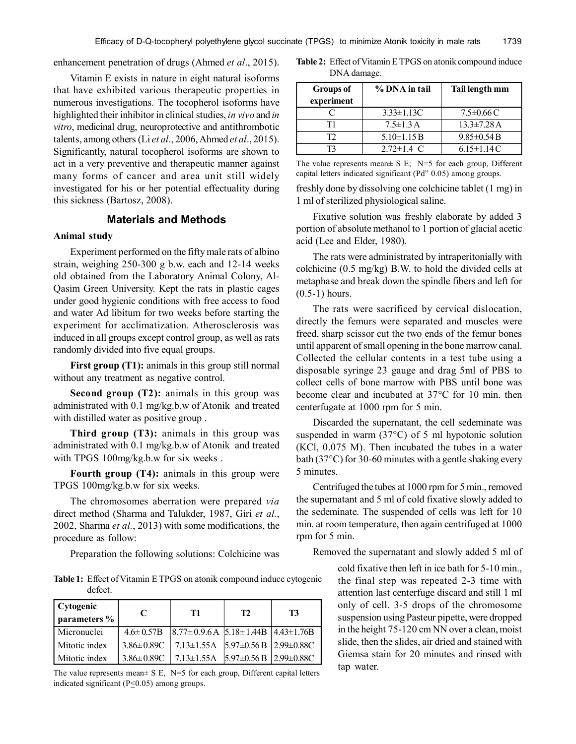enhancement penetration of drugs (Ahmed *et al*., 2015).

Vitamin E exists in nature in eight natural isoforms that have exhibited various therapeutic properties in numerous investigations. The tocopherol isoforms have highlighted their inhibitor in clinical studies, *in vivo* and *in vitro*, medicinal drug, neuroprotective and antithrombotic talents, among others (Li *et al*., 2006, Ahmed *et al*., 2015). Significantly, natural tocopherol isoforms are shown to act in a very preventive and therapeutic manner against many forms of cancer and area unit still widely investigated for his or her potential effectuality during this sickness (Bartosz, 2008).

# **Materials and Methods**

#### **Animal study**

Experiment performed on the fifty male rats of albino strain, weighing 250-300 g b.w. each and 12-14 weeks old obtained from the Laboratory Animal Colony, Al-Qasim Green University. Kept the rats in plastic cages under good hygienic conditions with free access to food and water Ad libitum for two weeks before starting the experiment for acclimatization. Atherosclerosis was induced in all groups except control group, as well as rats randomly divided into five equal groups.

First group (T1): animals in this group still normal without any treatment as negative control.

**Second group (T2):** animals in this group was administrated with 0.1 mg/kg.b.w of Atonik and treated with distilled water as positive group .

**Third group (T3):** animals in this group was administrated with 0.1 mg/kg.b.w of Atonik and treated with TPGS 100mg/kg.b.w for six weeks.

**Fourth group (T4):** animals in this group were TPGS 100mg/kg.b.w for six weeks.

The chromosomes aberration were prepared *via* direct method (Sharma and Talukder, 1987, Giri *et al.*, 2002, Sharma *et al.*, 2013) with some modifications, the procedure as follow:

Preparation the following solutions: Colchicine was

**Table 1:** Effect of Vitamin E TPGS on atonik compound induce cytogenic defect.

| Cytogenic<br>parameters % | C                 | T1                                                               | T <sub>2</sub> | T3 |
|---------------------------|-------------------|------------------------------------------------------------------|----------------|----|
| l Micronuclei             |                   | $4.6 \pm 0.57B$ $ 8.77 \pm 0.9.6A 5.18 \pm 1.44B 4.43 \pm 1.76B$ |                |    |
| I Mitotic index           | $3.86 \pm 0.89$ C | $7.13 \pm 1.55$ A $5.97 \pm 0.56$ B $2.99 \pm 0.88$ C            |                |    |
| Mitotic index             | $3.86 \pm 0.89$ C | $7.13 \pm 1.55$ A $5.97 \pm 0.56$ B $2.99 \pm 0.88$ C            |                |    |

The value represents mean $\pm$  S E, N=5 for each group, Different capital letters indicated significant ( $P \le 0.05$ ) among groups.

| <b>Table 2:</b> Effect of Vitamin E TPGS on atonik compound induce |
|--------------------------------------------------------------------|
| DNA damage.                                                        |

| <b>Groups of</b><br>experiment | % DNA in tail     | Tail length mm    |
|--------------------------------|-------------------|-------------------|
|                                | $3.33 \pm 1.13C$  | $7.5 \pm 0.66$ C  |
| T1                             | $7.5 \pm 1.3$ A   | $13.3 \pm 7.28$ A |
| T)                             | $5.10 \pm 1.15 B$ | $9.85 \pm 0.54 B$ |
|                                | $2.72 \pm 1.4$ C  | $6.15 \pm 1.14$ C |

The value represents mean $\pm$  S E; N=5 for each group, Different capital letters indicated significant (Pd" 0.05) among groups.

freshly done by dissolving one colchicine tablet (1 mg) in 1 ml of sterilized physiological saline.

Fixative solution was freshly elaborate by added 3 portion of absolute methanol to 1 portion of glacial acetic acid (Lee and Elder, 1980).

The rats were administrated by intraperitonially with colchicine (0.5 mg/kg) B.W. to hold the divided cells at metaphase and break down the spindle fibers and left for (0.5-1) hours.

The rats were sacrificed by cervical dislocation, directly the femurs were separated and muscles were freed, sharp scissor cut the two ends of the femur bones until apparent of small opening in the bone marrow canal. Collected the cellular contents in a test tube using a disposable syringe 23 gauge and drag 5ml of PBS to collect cells of bone marrow with PBS until bone was become clear and incubated at 37°C for 10 min. then centerfugate at 1000 rpm for 5 min.

Discarded the supernatant, the cell sedeminate was suspended in warm (37°C) of 5 ml hypotonic solution (KCl, 0.075 M). Then incubated the tubes in a water bath (37°C) for 30-60 minutes with a gentle shaking every 5 minutes.

Centrifuged the tubes at 1000 rpm for 5 min., removed the supernatant and 5 ml of cold fixative slowly added to the sedeminate. The suspended of cells was left for 10 min. at room temperature, then again centrifuged at 1000 rpm for 5 min.

Removed the supernatant and slowly added 5 ml of

cold fixative then left in ice bath for 5-10 min., the final step was repeated 2-3 time with attention last centerfuge discard and still 1 ml only of cell. 3-5 drops of the chromosome suspension using Pasteur pipette, were dropped in the height 75-120 cm NN over a clean, moist slide, then the slides, air dried and stained with Giemsa stain for 20 minutes and rinsed with tap water.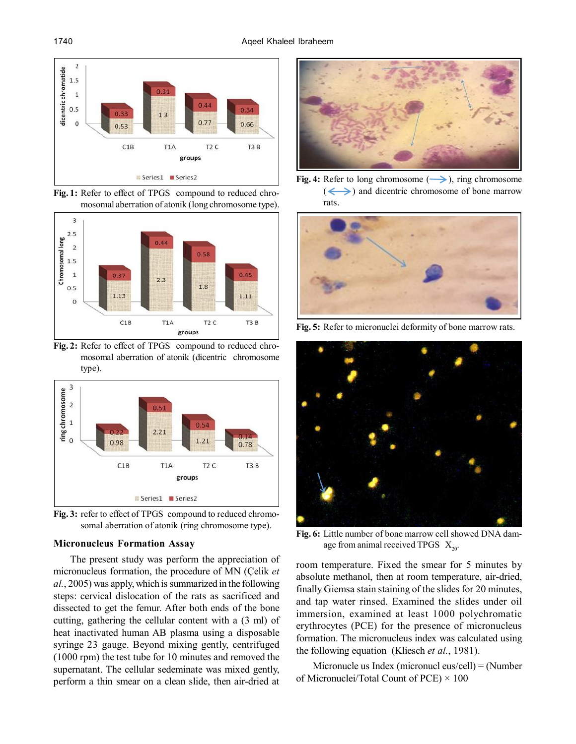

Fig. 1: Refer to effect of TPGS compound to reduced chromosomal aberration of atonik (long chromosome type).



**Fig. 2:** Refer to effect of TPGS compound to reduced chromosomal aberration of atonik (dicentric chromosome type).



Fig. 3: refer to effect of TPGS compound to reduced chromosomal aberration of atonik (ring chromosome type).

## **Micronucleus Formation Assay**

The present study was perform the appreciation of micronucleus formation, the procedure of MN (Çelik *et al.*, 2005) was apply, which is summarized in the following steps: cervical dislocation of the rats as sacrificed and dissected to get the femur. After both ends of the bone cutting, gathering the cellular content with a (3 ml) of heat inactivated human AB plasma using a disposable syringe 23 gauge. Beyond mixing gently, centrifuged (1000 rpm) the test tube for 10 minutes and removed the supernatant. The cellular sedeminate was mixed gently, perform a thin smear on a clean slide, then air-dried at



**Fig. 4:** Refer to long chromosome  $(\rightarrow)$ , ring chromosome  $\left(\leftarrow\right)$  and dicentric chromosome of bone marrow rats.



**Fig. 5:** Refer to micronuclei deformity of bone marrow rats.



**Fig. 6:** Little number of bone marrow cell showed DNA damage from animal received TPGS  $X_{20}$ .

room temperature. Fixed the smear for 5 minutes by absolute methanol, then at room temperature, air-dried, finally Giemsa stain staining of the slides for 20 minutes, and tap water rinsed. Examined the slides under oil immersion, examined at least 1000 polychromatic erythrocytes (PCE) for the presence of micronucleus formation. The micronucleus index was calculated using the following equation (Kliesch *et al.*, 1981).

Micronucle us Index (micronucl eus/cell) = (Number of Micronuclei/Total Count of PCE)  $\times$  100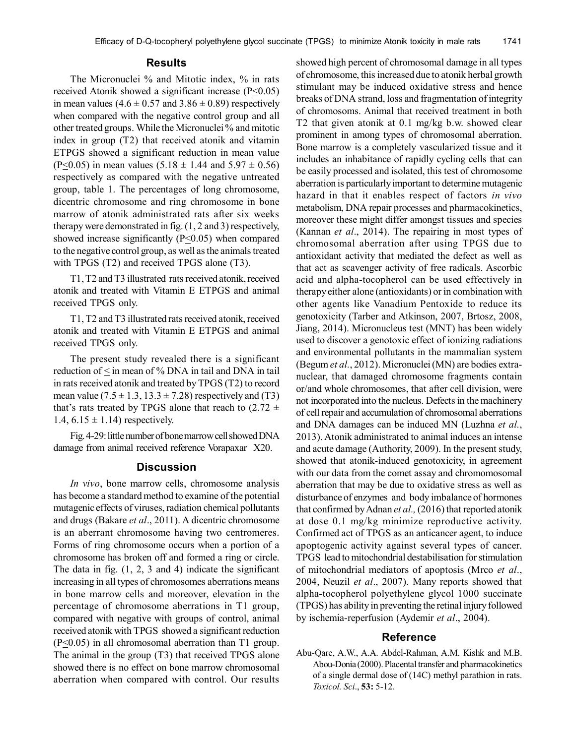## **Results**

The Micronuclei % and Mitotic index, % in rats received Atonik showed a significant increase (P<0.05) in mean values (4.6  $\pm$  0.57 and 3.86  $\pm$  0.89) respectively when compared with the negative control group and all other treated groups. While the Micronuclei % and mitotic index in group (T2) that received atonik and vitamin ETPGS showed a significant reduction in mean value  $(P \le 0.05)$  in mean values  $(5.18 \pm 1.44$  and  $5.97 \pm 0.56)$ respectively as compared with the negative untreated group, table 1. The percentages of long chromosome, dicentric chromosome and ring chromosome in bone marrow of atonik administrated rats after six weeks therapy were demonstrated in fig. (1, 2 and 3) respectively, showed increase significantly  $(P \le 0.05)$  when compared to the negative control group, as well as the animals treated with TPGS (T2) and received TPGS alone (T3).

T1, T2 and T3 illustrated rats received atonik, received atonik and treated with Vitamin E ETPGS and animal received TPGS only.

T1, T2 and T3 illustrated rats received atonik, received atonik and treated with Vitamin E ETPGS and animal received TPGS only.

The present study revealed there is a significant reduction of  $\leq$  in mean of % DNA in tail and DNA in tail in rats received atonik and treated by TPGS (T2) to record mean value  $(7.5 \pm 1.3, 13.3 \pm 7.28)$  respectively and  $(T3)$ that's rats treated by TPGS alone that reach to  $(2.72 \pm 1)$ 1.4,  $6.15 \pm 1.14$ ) respectively.

Fig. 4-29: little number of bone marrow cell showed DNA damage from animal received reference Vorapaxar X20.

# **Discussion**

*In vivo*, bone marrow cells, chromosome analysis has become a standard method to examine of the potential mutagenic effects of viruses, radiation chemical pollutants and drugs (Bakare *et al*., 2011). A dicentric chromosome is an aberrant chromosome having two centromeres. Forms of ring chromosome occurs when a portion of a chromosome has broken off and formed a ring or circle. The data in fig.  $(1, 2, 3, 4)$  indicate the significant increasing in all types of chromosomes aberrations means in bone marrow cells and moreover, elevation in the percentage of chromosome aberrations in T1 group, compared with negative with groups of control, animal received atonik with TPGS showed a significant reduction  $(P \le 0.05)$  in all chromosomal aberration than T1 group. The animal in the group (T3) that received TPGS alone showed there is no effect on bone marrow chromosomal aberration when compared with control. Our results showed high percent of chromosomal damage in all types of chromosome, this increased due to atonik herbal growth stimulant may be induced oxidative stress and hence breaks of DNA strand, loss and fragmentation of integrity of chromosoms. Animal that received treatment in both T2 that given atonik at 0.1 mg/kg b.w. showed clear prominent in among types of chromosomal aberration. Bone marrow is a completely vascularized tissue and it includes an inhabitance of rapidly cycling cells that can be easily processed and isolated, this test of chromosome aberration is particularly important to determine mutagenic hazard in that it enables respect of factors *in vivo* metabolism, DNA repair processes and pharmacokinetics, moreover these might differ amongst tissues and species (Kannan *et al*., 2014). The repairing in most types of chromosomal aberration after using TPGS due to antioxidant activity that mediated the defect as well as that act as scavenger activity of free radicals. Ascorbic acid and alpha-tocopherol can be used effectively in therapy either alone (antioxidants) or in combination with other agents like Vanadium Pentoxide to reduce its genotoxicity (Tarber and Atkinson, 2007, Brtosz, 2008, Jiang, 2014). Micronucleus test (MNT) has been widely used to discover a genotoxic effect of ionizing radiations and environmental pollutants in the mammalian system (Begum *et al.*, 2012). Micronuclei (MN) are bodies extranuclear, that damaged chromosome fragments contain or/and whole chromosomes, that after cell division, were not incorporated into the nucleus. Defects in the machinery of cell repair and accumulation of chromosomal aberrations and DNA damages can be induced MN (Luzhna *et al.*, 2013). Atonik administrated to animal induces an intense and acute damage (Authority, 2009). In the present study, showed that atonik-induced genotoxicity, in agreement with our data from the comet assay and chromomosomal aberration that may be due to oxidative stress as well as disturbance of enzymes and body imbalance of hormones that confirmed by Adnan *et al.,* (2016) that reported atonik at dose 0.1 mg/kg minimize reproductive activity. Confirmed act of TPGS as an anticancer agent, to induce apoptogenic activity against several types of cancer. TPGS lead to mitochondrial destabilisation for stimulation of mitochondrial mediators of apoptosis (Mrco *et al*., 2004, Neuzil *et al*., 2007). Many reports showed that alpha-tocopherol polyethylene glycol 1000 succinate (TPGS) has ability in preventing the retinal injury followed by ischemia-reperfusion (Aydemir *et al*., 2004).

## **Reference**

Abu-Qare, A.W., A.A. Abdel-Rahman, A.M. Kishk and M.B. Abou-Donia (2000). Placental transfer and pharmacokinetics of a single dermal dose of (14C) methyl parathion in rats. *Toxicol. Sci*., **53:** 5-12.